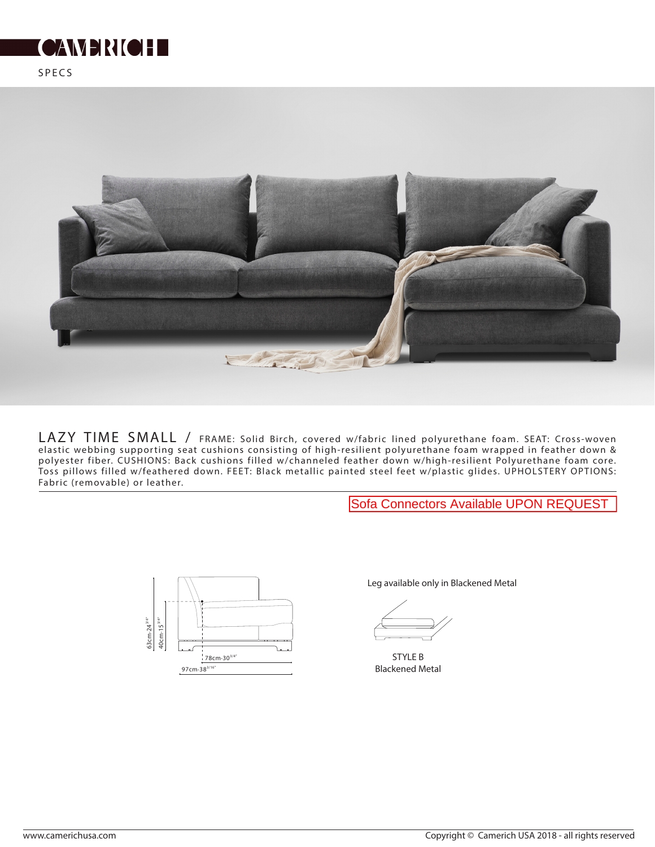



LAZY TIME SMALL / FRAME: Solid Birch, covered w/fabric lined polyurethane foam. SEAT: Cross-woven elastic webbing supporting seat cushions consisting of high-resilient polyurethane foam wrapped in feather down & polyester fiber. CUSHIONS: Back cushions filled w/channeled feather down w/high-resilient Polyurethane foam core. Toss pillows filled w/feathered down. FEE T: Black metallic painted steel feet w/plastic glides. UPHOLSTERY OPTIONS: Fabric (removable) or leather.

Sofa Connectors Available UPON REQUEST



Leg available only in Blackened Metal

STYLE B Blackened Metal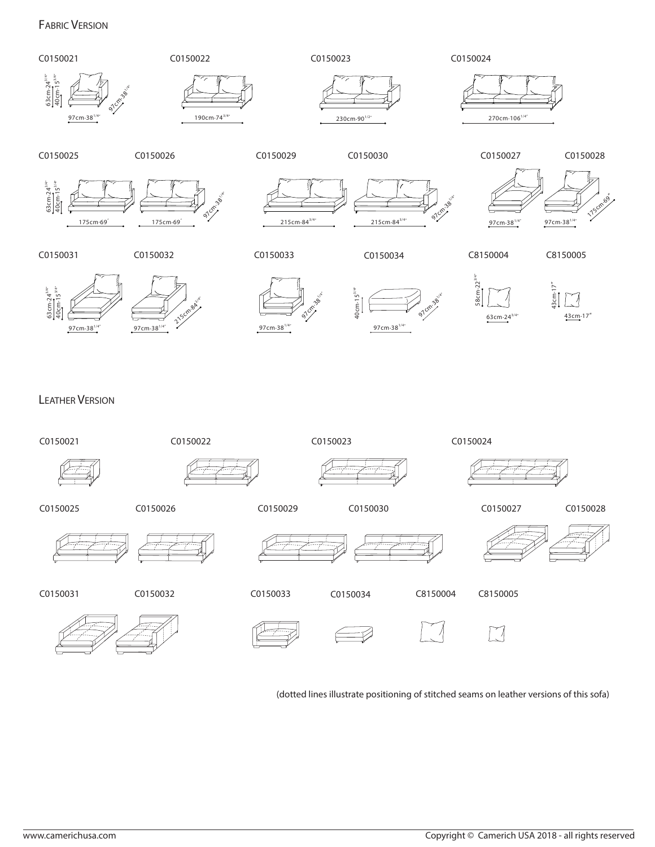## FABRIC VERSION



LEATHER VERSION



(dotted lines illustrate positioning of stitched seams on leather versions of this sofa)